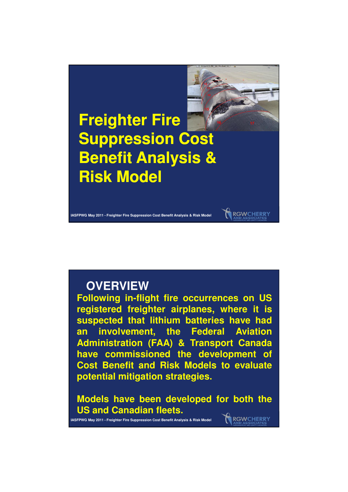

## **OVERVIEW**

**Following in-flight fire occurrences on US registered freighter airplanes, where it is suspected that lithium batteries have had an involvement, the Federal Aviation Administration (FAA) & Transport Canada have commissioned the development of Cost Benefit and Risk Models to evaluate potential mitigation strategies.**

**Models have been developed for both the US and Canadian fleets.** RGWCHERRY

**IASFPWG May 2011 - Freighter Fire Suppression Cost Benefit Analysis & Risk Model**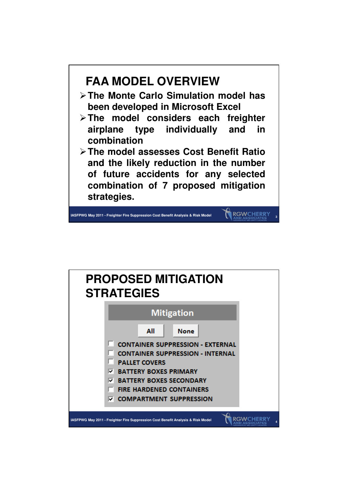

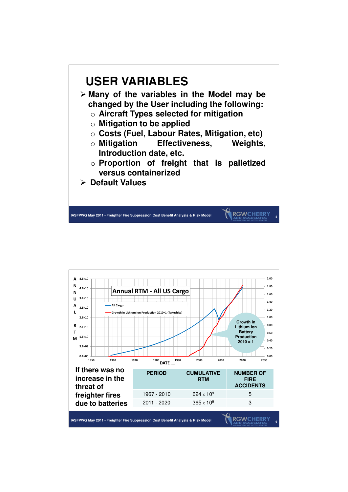